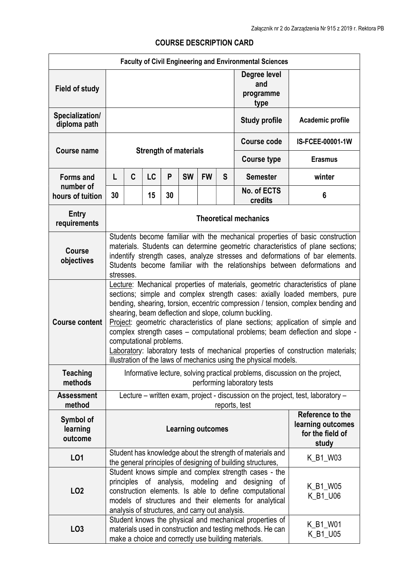|                                  |                                                                                                                                                                                                                                                                                                                                                                                                                                                                                                                                                                                                                                                                 |   |    |    |                          |           |                    | <b>Faculty of Civil Engineering and Environmental Sciences</b>                                                                                                               |                                                                    |
|----------------------------------|-----------------------------------------------------------------------------------------------------------------------------------------------------------------------------------------------------------------------------------------------------------------------------------------------------------------------------------------------------------------------------------------------------------------------------------------------------------------------------------------------------------------------------------------------------------------------------------------------------------------------------------------------------------------|---|----|----|--------------------------|-----------|--------------------|------------------------------------------------------------------------------------------------------------------------------------------------------------------------------|--------------------------------------------------------------------|
| <b>Field of study</b>            |                                                                                                                                                                                                                                                                                                                                                                                                                                                                                                                                                                                                                                                                 |   |    |    |                          |           |                    | Degree level<br>and<br>programme<br>type                                                                                                                                     |                                                                    |
| Specialization/<br>diploma path  |                                                                                                                                                                                                                                                                                                                                                                                                                                                                                                                                                                                                                                                                 |   |    |    |                          |           |                    | <b>Study profile</b>                                                                                                                                                         | Academic profile                                                   |
| <b>Course name</b>               | <b>Strength of materials</b>                                                                                                                                                                                                                                                                                                                                                                                                                                                                                                                                                                                                                                    |   |    |    |                          |           | <b>Course code</b> | IS-FCEE-00001-1W                                                                                                                                                             |                                                                    |
|                                  |                                                                                                                                                                                                                                                                                                                                                                                                                                                                                                                                                                                                                                                                 |   |    |    |                          |           |                    | <b>Course type</b>                                                                                                                                                           | <b>Erasmus</b>                                                     |
| <b>Forms and</b>                 | L                                                                                                                                                                                                                                                                                                                                                                                                                                                                                                                                                                                                                                                               | C | LC | P  | <b>SW</b>                | <b>FW</b> | S                  | <b>Semester</b>                                                                                                                                                              | winter                                                             |
| number of<br>hours of tuition    | 30                                                                                                                                                                                                                                                                                                                                                                                                                                                                                                                                                                                                                                                              |   | 15 | 30 |                          |           |                    | No. of ECTS<br>credits                                                                                                                                                       | 6                                                                  |
| <b>Entry</b><br>requirements     | <b>Theoretical mechanics</b>                                                                                                                                                                                                                                                                                                                                                                                                                                                                                                                                                                                                                                    |   |    |    |                          |           |                    |                                                                                                                                                                              |                                                                    |
| <b>Course</b><br>objectives      | Students become familiar with the mechanical properties of basic construction<br>materials. Students can determine geometric characteristics of plane sections;<br>indentify strength cases, analyze stresses and deformations of bar elements.<br>Students become familiar with the relationships between deformations and<br>stresses.                                                                                                                                                                                                                                                                                                                        |   |    |    |                          |           |                    |                                                                                                                                                                              |                                                                    |
| <b>Course content</b>            | Lecture: Mechanical properties of materials, geometric characteristics of plane<br>sections; simple and complex strength cases: axially loaded members, pure<br>bending, shearing, torsion, eccentric compression / tension, complex bending and<br>shearing, beam deflection and slope, column buckling.<br>Project: geometric characteristics of plane sections; application of simple and<br>complex strength cases - computational problems; beam deflection and slope -<br>computational problems.<br>Laboratory: laboratory tests of mechanical properties of construction materials;<br>illustration of the laws of mechanics using the physical models. |   |    |    |                          |           |                    |                                                                                                                                                                              |                                                                    |
| <b>Teaching</b><br>methods       | Informative lecture, solving practical problems, discussion on the project,<br>performing laboratory tests                                                                                                                                                                                                                                                                                                                                                                                                                                                                                                                                                      |   |    |    |                          |           |                    |                                                                                                                                                                              |                                                                    |
| <b>Assessment</b><br>method      | Lecture - written exam, project - discussion on the project, test, laboratory -<br>reports, test                                                                                                                                                                                                                                                                                                                                                                                                                                                                                                                                                                |   |    |    |                          |           |                    |                                                                                                                                                                              |                                                                    |
| Symbol of<br>learning<br>outcome |                                                                                                                                                                                                                                                                                                                                                                                                                                                                                                                                                                                                                                                                 |   |    |    | <b>Learning outcomes</b> |           |                    |                                                                                                                                                                              | Reference to the<br>learning outcomes<br>for the field of<br>study |
| L01                              |                                                                                                                                                                                                                                                                                                                                                                                                                                                                                                                                                                                                                                                                 |   |    |    |                          |           |                    | Student has knowledge about the strength of materials and                                                                                                                    | K_B1_W03                                                           |
| LO <sub>2</sub>                  | the general principles of designing of building structures,<br>Student knows simple and complex strength cases - the<br>principles of analysis, modeling<br>and designing<br>of<br>K_B1_W05<br>construction elements. Is able to define computational<br>K_B1_U06<br>models of structures and their elements for analytical<br>analysis of structures, and carry out analysis.                                                                                                                                                                                                                                                                                  |   |    |    |                          |           |                    |                                                                                                                                                                              |                                                                    |
| LO <sub>3</sub>                  |                                                                                                                                                                                                                                                                                                                                                                                                                                                                                                                                                                                                                                                                 |   |    |    |                          |           |                    | Student knows the physical and mechanical properties of<br>materials used in construction and testing methods. He can<br>make a choice and correctly use building materials. | K_B1_W01<br>K_B1_U05                                               |

## COURSE DESCRIPTION CARD